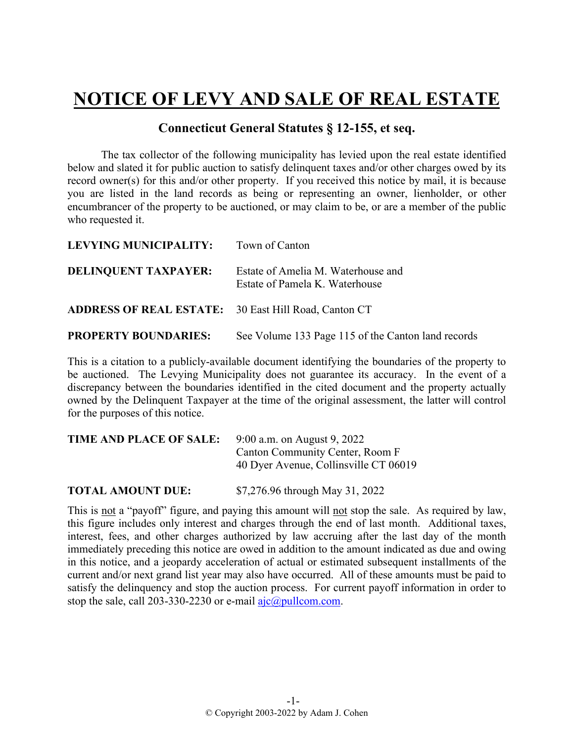## **NOTICE OF LEVY AND SALE OF REAL ESTATE**

## **Connecticut General Statutes § 12-155, et seq.**

The tax collector of the following municipality has levied upon the real estate identified below and slated it for public auction to satisfy delinquent taxes and/or other charges owed by its record owner(s) for this and/or other property. If you received this notice by mail, it is because you are listed in the land records as being or representing an owner, lienholder, or other encumbrancer of the property to be auctioned, or may claim to be, or are a member of the public who requested it.

| LEVYING MUNICIPALITY:                                       | Town of Canton                                                       |
|-------------------------------------------------------------|----------------------------------------------------------------------|
| <b>DELINQUENT TAXPAYER:</b>                                 | Estate of Amelia M. Waterhouse and<br>Estate of Pamela K. Waterhouse |
| <b>ADDRESS OF REAL ESTATE:</b> 30 East Hill Road, Canton CT |                                                                      |
| <b>PROPERTY BOUNDARIES:</b>                                 | See Volume 133 Page 115 of the Canton land records                   |

This is a citation to a publicly-available document identifying the boundaries of the property to be auctioned. The Levying Municipality does not guarantee its accuracy. In the event of a discrepancy between the boundaries identified in the cited document and the property actually owned by the Delinquent Taxpayer at the time of the original assessment, the latter will control for the purposes of this notice.

| TIME AND PLACE OF SALE: | 9:00 a.m. on August 9, 2022           |
|-------------------------|---------------------------------------|
|                         | Canton Community Center, Room F       |
|                         | 40 Dyer Avenue, Collinsville CT 06019 |
|                         |                                       |
|                         |                                       |

**TOTAL AMOUNT DUE:** \$7,276.96 through May 31, 2022

This is not a "payoff" figure, and paying this amount will not stop the sale. As required by law, this figure includes only interest and charges through the end of last month. Additional taxes, interest, fees, and other charges authorized by law accruing after the last day of the month immediately preceding this notice are owed in addition to the amount indicated as due and owing in this notice, and a jeopardy acceleration of actual or estimated subsequent installments of the current and/or next grand list year may also have occurred. All of these amounts must be paid to satisfy the delinquency and stop the auction process. For current payoff information in order to stop the sale, call 203-330-2230 or e-mail  $a$ jc $@p$ ullcom.com.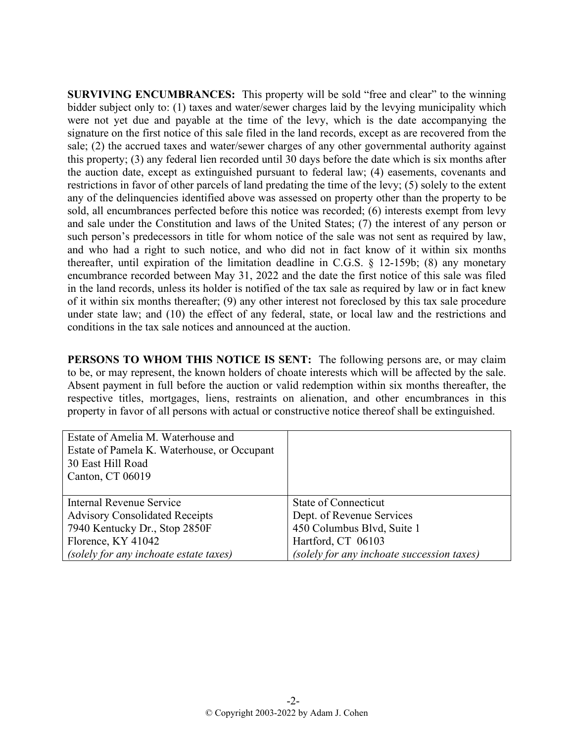**SURVIVING ENCUMBRANCES:** This property will be sold "free and clear" to the winning bidder subject only to: (1) taxes and water/sewer charges laid by the levying municipality which were not yet due and payable at the time of the levy, which is the date accompanying the signature on the first notice of this sale filed in the land records, except as are recovered from the sale; (2) the accrued taxes and water/sewer charges of any other governmental authority against this property; (3) any federal lien recorded until 30 days before the date which is six months after the auction date, except as extinguished pursuant to federal law; (4) easements, covenants and restrictions in favor of other parcels of land predating the time of the levy; (5) solely to the extent any of the delinquencies identified above was assessed on property other than the property to be sold, all encumbrances perfected before this notice was recorded; (6) interests exempt from levy and sale under the Constitution and laws of the United States; (7) the interest of any person or such person's predecessors in title for whom notice of the sale was not sent as required by law, and who had a right to such notice, and who did not in fact know of it within six months thereafter, until expiration of the limitation deadline in C.G.S. § 12-159b; (8) any monetary encumbrance recorded between May 31, 2022 and the date the first notice of this sale was filed in the land records, unless its holder is notified of the tax sale as required by law or in fact knew of it within six months thereafter; (9) any other interest not foreclosed by this tax sale procedure under state law; and (10) the effect of any federal, state, or local law and the restrictions and conditions in the tax sale notices and announced at the auction.

**PERSONS TO WHOM THIS NOTICE IS SENT:** The following persons are, or may claim to be, or may represent, the known holders of choate interests which will be affected by the sale. Absent payment in full before the auction or valid redemption within six months thereafter, the respective titles, mortgages, liens, restraints on alienation, and other encumbrances in this property in favor of all persons with actual or constructive notice thereof shall be extinguished.

| Estate of Amelia M. Waterhouse and<br>Estate of Pamela K. Waterhouse, or Occupant<br>30 East Hill Road<br>Canton, CT 06019 |                                            |
|----------------------------------------------------------------------------------------------------------------------------|--------------------------------------------|
| Internal Revenue Service                                                                                                   | State of Connecticut                       |
| <b>Advisory Consolidated Receipts</b>                                                                                      | Dept. of Revenue Services                  |
| 7940 Kentucky Dr., Stop 2850F                                                                                              | 450 Columbus Blvd, Suite 1                 |
| Florence, KY 41042                                                                                                         | Hartford, CT 06103                         |
| (solely for any inchoate estate taxes)                                                                                     | (solely for any inchoate succession taxes) |